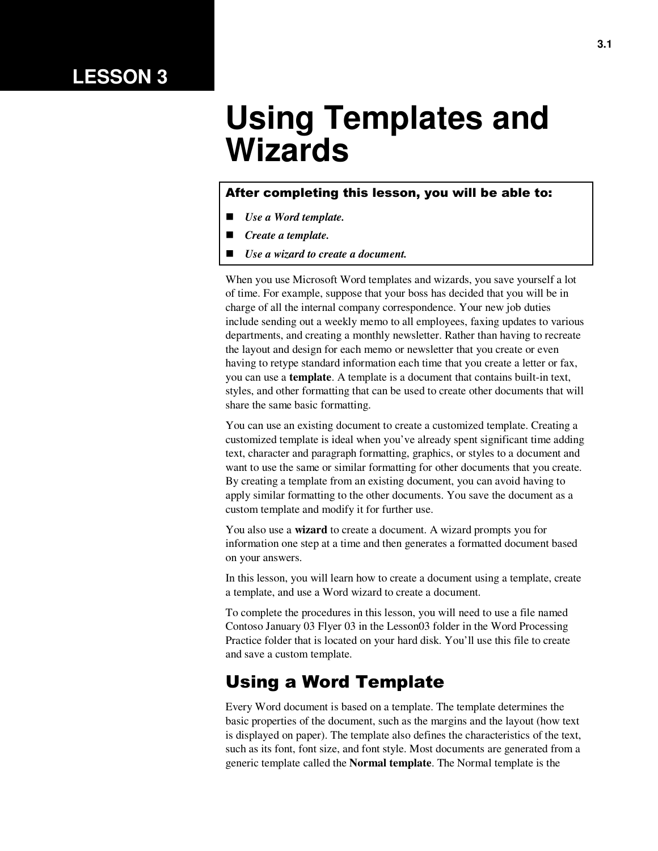# **LESSON 3**

# **Using Templates and Wizards**

#### After completing this lesson, you will be able to:

- *Use a Word template.*
- *Create a template.*
- *Use a wizard to create a document.*

When you use Microsoft Word templates and wizards, you save yourself a lot of time. For example, suppose that your boss has decided that you will be in charge of all the internal company correspondence. Your new job duties include sending out a weekly memo to all employees, faxing updates to various departments, and creating a monthly newsletter. Rather than having to recreate the layout and design for each memo or newsletter that you create or even having to retype standard information each time that you create a letter or fax, you can use a **template**. A template is a document that contains built-in text, styles, and other formatting that can be used to create other documents that will share the same basic formatting.

You can use an existing document to create a customized template. Creating a customized template is ideal when you've already spent significant time adding text, character and paragraph formatting, graphics, or styles to a document and want to use the same or similar formatting for other documents that you create. By creating a template from an existing document, you can avoid having to apply similar formatting to the other documents. You save the document as a custom template and modify it for further use.

You also use a **wizard** to create a document. A wizard prompts you for information one step at a time and then generates a formatted document based on your answers.

In this lesson, you will learn how to create a document using a template, create a template, and use a Word wizard to create a document.

To complete the procedures in this lesson, you will need to use a file named Contoso January 03 Flyer 03 in the Lesson03 folder in the Word Processing Practice folder that is located on your hard disk. You'll use this file to create and save a custom template.

### Using a Word Template

Every Word document is based on a template. The template determines the basic properties of the document, such as the margins and the layout (how text is displayed on paper). The template also defines the characteristics of the text, such as its font, font size, and font style. Most documents are generated from a generic template called the **Normal template**. The Normal template is the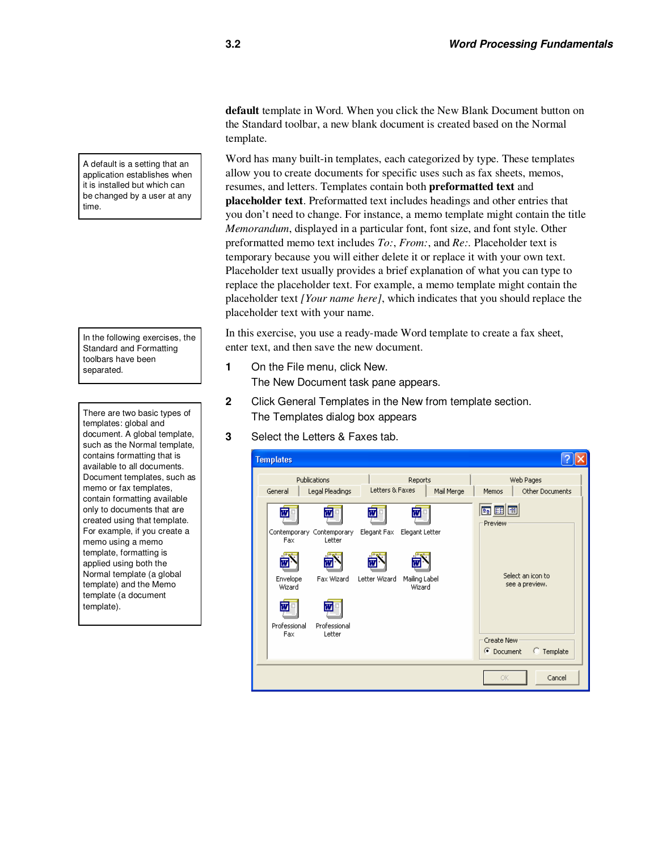A default is a setting that an application establishes when it is installed but which can be changed by a user at any time.

In the following exercises, the Standard and Formatting toolbars have been separated.

There are two basic types of templates: global and document. A global template, such as the Normal template, contains formatting that is available to all documents. Document templates, such as memo or fax templates, contain formatting available only to documents that are created using that template. For example, if you create a memo using a memo template, formatting is applied using both the Normal template (a global template) and the Memo template (a document template).

**default** template in Word. When you click the New Blank Document button on the Standard toolbar, a new blank document is created based on the Normal template.

Word has many built-in templates, each categorized by type. These templates allow you to create documents for specific uses such as fax sheets, memos, resumes, and letters. Templates contain both **preformatted text** and **placeholder text**. Preformatted text includes headings and other entries that you don't need to change. For instance, a memo template might contain the title *Memorandum*, displayed in a particular font, font size, and font style. Other preformatted memo text includes *To:*, *From:*, and *Re:.* Placeholder text is temporary because you will either delete it or replace it with your own text. Placeholder text usually provides a brief explanation of what you can type to replace the placeholder text. For example, a memo template might contain the placeholder text *[Your name here]*, which indicates that you should replace the placeholder text with your name.

In this exercise, you use a ready-made Word template to create a fax sheet, enter text, and then save the new document.

- **1** On the File menu, click New. The New Document task pane appears.
- **2** Click General Templates in the New from template section. The Templates dialog box appears
- **3** Select the Letters & Faxes tab.

| <b>Templates</b>                                                                       |                                        |
|----------------------------------------------------------------------------------------|----------------------------------------|
| Publications<br>Reports<br>Letters & Faxes<br>Mail Merge<br>General<br>Legal Pleadings | Web Pages<br>Other Documents<br>Memos  |
| Elegant Fax<br>Elegant Letter<br>Contemporary Contemporary<br>Fax<br>Letter            | 圖<br>■ 囲<br>Preview                    |
| Envelope<br>Fax Wizard<br>Mailing Label<br>Letter Wizard<br>Wizard<br>Wizard           | Select an icon to<br>see a preview.    |
| Professional<br>Professional<br>Letter<br>Fax                                          | Create New<br>C Document<br>C Template |
|                                                                                        | Cancel<br>OK.                          |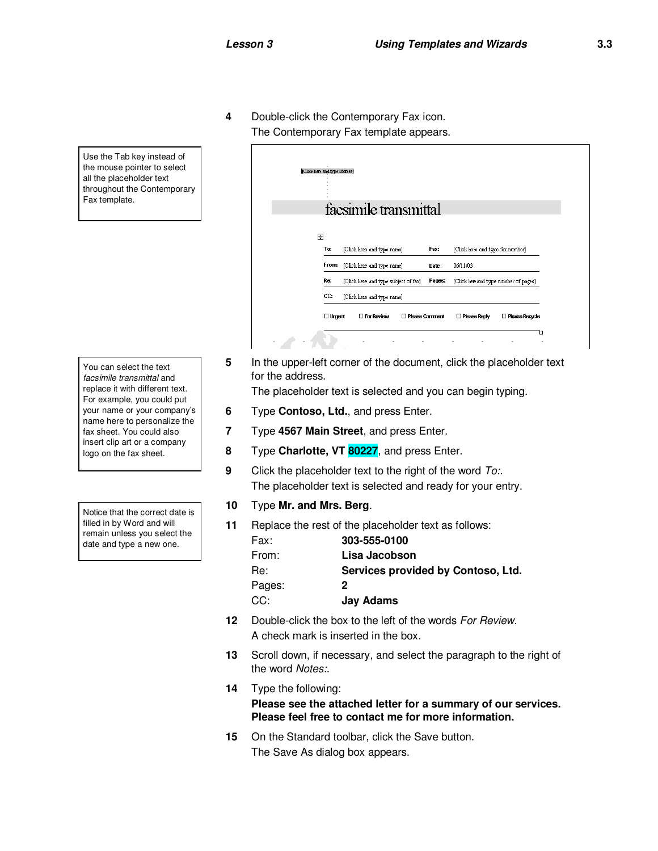**4** Double-click the Contemporary Fax icon. The Contemporary Fax template appears.

Use the Tab key instead of the mouse pointer to select all the placeholder text throughout the Contemporary Fax template.

You can select the text *facsimile transmittal* and replace it with different text. For example, you could put your name or your company's name here to personalize the fax sheet. You could also insert clip art or a company logo on the fax sheet.

Notice that the correct date is filled in by Word and will remain unless you select the date and type a new one.

|   | [Click here and type address] |                                      |        |                                       |
|---|-------------------------------|--------------------------------------|--------|---------------------------------------|
|   |                               | facsimile transmittal                |        |                                       |
| Ŧ |                               |                                      |        |                                       |
|   | To:                           | [Click here and type name]           | Fax:   | [Click here and type fax number]      |
|   | <b>From:</b>                  | [Click here and type name]           | Date:  | 06/11/03                              |
|   | Re:                           | [Click here and type subject of fax] | Pages: | [Click here and type number of pages] |
|   | CC:                           | [Click here and type name]           |        |                                       |
|   | $\square$ Urgent              | □ For Review<br>□ Please Comment     |        | □ Please Reply<br>□ Please Recycle    |

**5** In the upper-left corner of the document, click the placeholder text for the address.

The placeholder text is selected and you can begin typing.

- **6** Type **Contoso, Ltd.**, and press Enter.
- **7** Type **4567 Main Street**, and press Enter.
- **8** Type **Charlotte, VT 80227**, and press Enter.
- **9** Click the placeholder text to the right of the word *To:*. The placeholder text is selected and ready for your entry.
- **10** Type **Mr. and Mrs. Berg**.
- **11** Replace the rest of the placeholder text as follows:

| Fax:   | 303-555-0100                       |
|--------|------------------------------------|
| From:  | Lisa Jacobson                      |
| Re:    | Services provided by Contoso, Ltd. |
| Pages: | 2                                  |
| CC:    | <b>Jay Adams</b>                   |

- **12** Double-click the box to the left of the words *For Review*. A check mark is inserted in the box.
- **13** Scroll down, if necessary, and select the paragraph to the right of the word *Notes:*.
- **14** Type the following:

**Please see the attached letter for a summary of our services. Please feel free to contact me for more information.** 

**15** On the Standard toolbar, click the Save button. The Save As dialog box appears.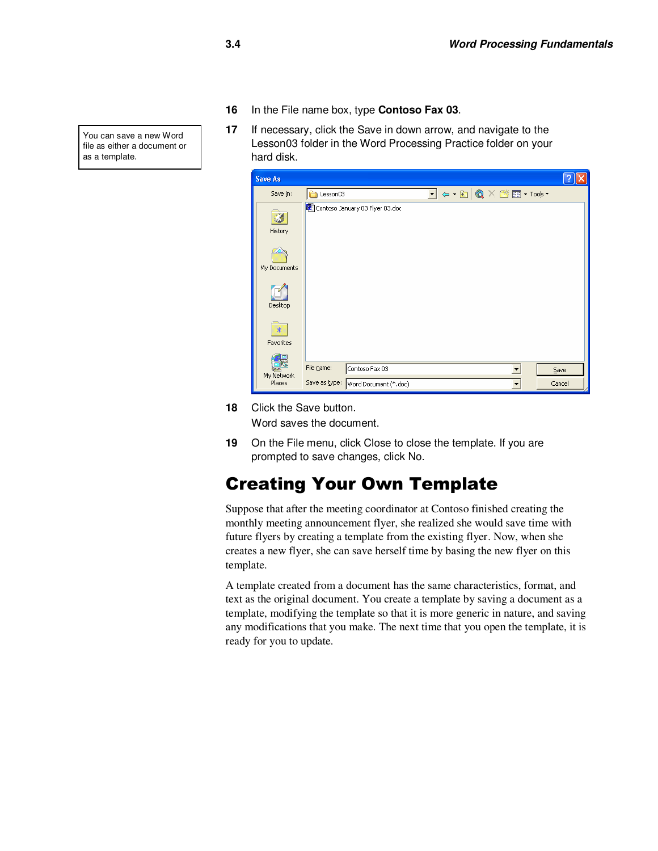You can save a new Word file as either a document or as a template.

- **16** In the File name box, type **Contoso Fax 03**.
- **17** If necessary, click the Save in down arrow, and navigate to the Lesson03 folder in the Word Processing Practice folder on your hard disk.

| iave As        |                                     |                |  |                              |  |   |        |
|----------------|-------------------------------------|----------------|--|------------------------------|--|---|--------|
| Save in:       | Lesson03                            |                |  | <b>7 G G X 啓 国 · Tools ·</b> |  |   |        |
| G<br>History   | Contoso January 03 Flyer 03.doc     |                |  |                              |  |   |        |
| My Documents   |                                     |                |  |                              |  |   |        |
| Desktop        |                                     |                |  |                              |  |   |        |
| *<br>Favorites |                                     |                |  |                              |  |   |        |
|                |                                     |                |  |                              |  |   |        |
| My Network     | File name:                          | Contoso Fax 03 |  |                              |  | ▼ | Save   |
| Places         | Save as type: Word Document (*.doc) |                |  |                              |  | ▼ | Cancel |

- **18** Click the Save button. Word saves the document.
- **19** On the File menu, click Close to close the template. If you are prompted to save changes, click No.

# Creating Your Own Template

Suppose that after the meeting coordinator at Contoso finished creating the monthly meeting announcement flyer, she realized she would save time with future flyers by creating a template from the existing flyer. Now, when she creates a new flyer, she can save herself time by basing the new flyer on this template.

A template created from a document has the same characteristics, format, and text as the original document. You create a template by saving a document as a template, modifying the template so that it is more generic in nature, and saving any modifications that you make. The next time that you open the template, it is ready for you to update.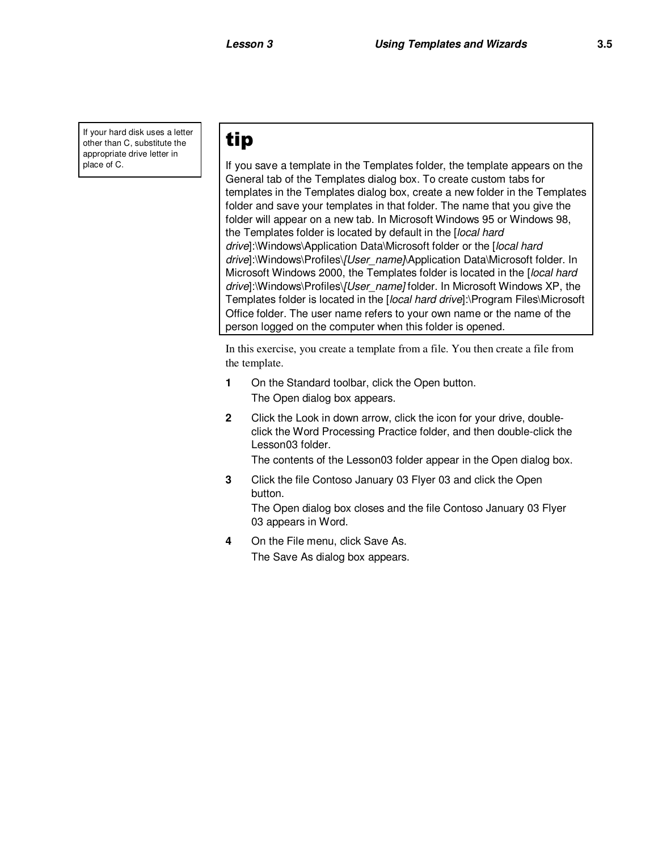If your hard disk uses a letter other than C, substitute the appropriate drive letter in place of C.

# tip

If you save a template in the Templates folder, the template appears on the General tab of the Templates dialog box. To create custom tabs for templates in the Templates dialog box, create a new folder in the Templates folder and save your templates in that folder. The name that you give the folder will appear on a new tab. In Microsoft Windows 95 or Windows 98, the Templates folder is located by default in the [*local hard drive*]:\Windows\Application Data\Microsoft folder or the [*local hard drive*]:\Windows\Profiles\*[User\_name]*\Application Data\Microsoft folder. In Microsoft Windows 2000, the Templates folder is located in the [*local hard drive*]:\Windows\Profiles\*[User\_name]* folder. In Microsoft Windows XP, the Templates folder is located in the [*local hard drive*]:\Program Files\Microsoft Office folder. The user name refers to your own name or the name of the person logged on the computer when this folder is opened.

In this exercise, you create a template from a file. You then create a file from the template.

- **1** On the Standard toolbar, click the Open button. The Open dialog box appears.
- **2** Click the Look in down arrow, click the icon for your drive, doubleclick the Word Processing Practice folder, and then double-click the Lesson03 folder.

The contents of the Lesson03 folder appear in the Open dialog box.

**3** Click the file Contoso January 03 Flyer 03 and click the Open button.

The Open dialog box closes and the file Contoso January 03 Flyer 03 appears in Word.

**4** On the File menu, click Save As. The Save As dialog box appears.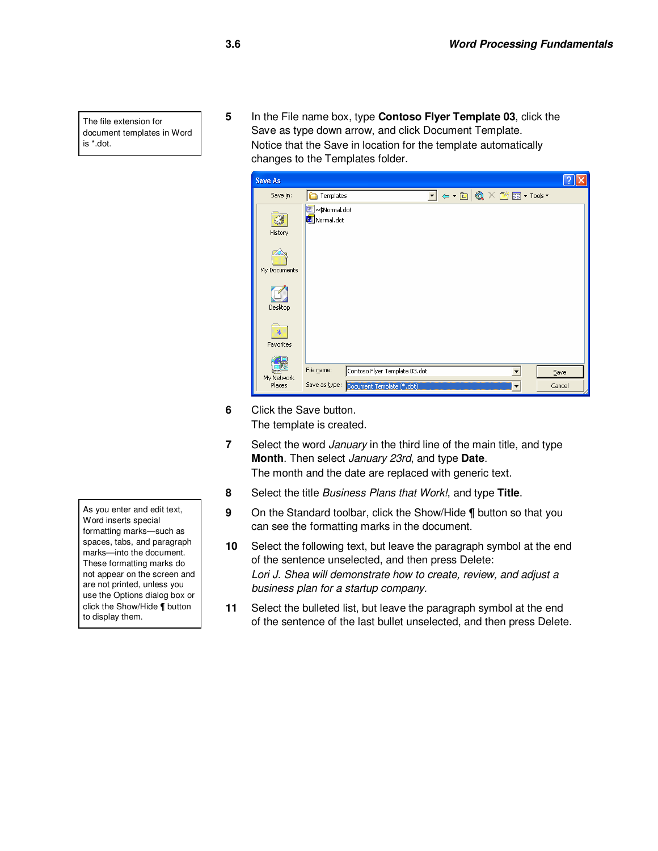The file extension for document templates in Word is \*.dot.

**5** In the File name box, type **Contoso Flyer Template 03**, click the Save as type down arrow, and click Document Template. Notice that the Save in location for the template automatically changes to the Templates folder.

| Save As              |                                           |                               |  |  |                                  |                      |        |
|----------------------|-------------------------------------------|-------------------------------|--|--|----------------------------------|----------------------|--------|
| Save in:             | Templates<br>A                            |                               |  |  | <b>7</b> ← • 白 Q × 啓 囲 • Tools • |                      |        |
| History              | <sup>57</sup> ~\$Normal.dot<br>Normal.dot |                               |  |  |                                  |                      |        |
| My Documents         |                                           |                               |  |  |                                  |                      |        |
| Desktop              |                                           |                               |  |  |                                  |                      |        |
| ₩<br>Favorites       |                                           |                               |  |  |                                  |                      |        |
|                      | File name:                                | Contoso Flyer Template 03.dot |  |  |                                  | ▼                    | Save   |
| My Network<br>Places | Save as type:                             | Document Template (*.dot)     |  |  |                                  | $\blacktriangledown$ | Cancel |

**6** Click the Save button.

The template is created.

- **7** Select the word *January* in the third line of the main title, and type **Month**. Then select *January 23rd*, and type **Date**. The month and the date are replaced with generic text.
- **8** Select the title *Business Plans that Work!*, and type **Title**.
- **9** On the Standard toolbar, click the Show/Hide ¶ button so that you can see the formatting marks in the document.
- **10** Select the following text, but leave the paragraph symbol at the end of the sentence unselected, and then press Delete: *Lori J. Shea will demonstrate how to create, review, and adjust a business plan for a startup company.*
- **11** Select the bulleted list, but leave the paragraph symbol at the end of the sentence of the last bullet unselected, and then press Delete.

As you enter and edit text, Word inserts special formatting marks—such as spaces, tabs, and paragraph marks—into the document. These formatting marks do not appear on the screen and are not printed, unless you use the Options dialog box or click the Show/Hide ¶ button to display them.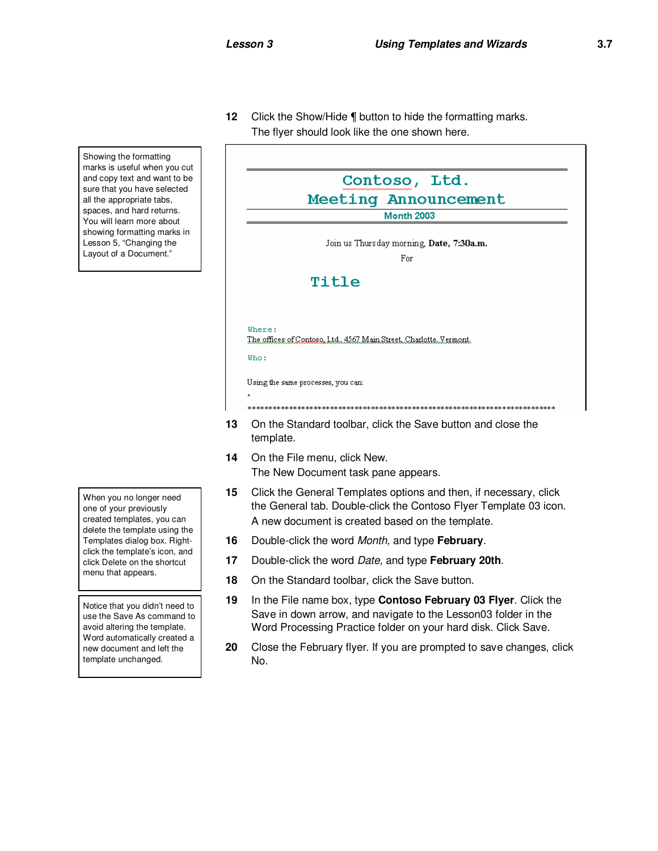**12** Click the Show/Hide ¶ button to hide the formatting marks. The flyer should look like the one shown here.

Showing the formatting marks is useful when you cut and copy text and want to be sure that you have selected all the appropriate tabs, spaces, and hard returns. You will learn more about showing formatting marks in Lesson 5, "Changing the Layout of a Document."

When you no longer need one of your previously created templates, you can delete the template using the Templates dialog box. Rightclick the template's icon, and click Delete on the shortcut menu that appears.

Notice that you didn't need to use the Save As command to avoid altering the template. Word automatically created a new document and left the template unchanged.

|    | Contoso, Ltd.                                                                                                                                                                                       |
|----|-----------------------------------------------------------------------------------------------------------------------------------------------------------------------------------------------------|
|    | Meeting Announcement                                                                                                                                                                                |
|    | <b>Month 2003</b>                                                                                                                                                                                   |
|    | Join us Thursday morning, Date, 7:30a.m.<br>For                                                                                                                                                     |
|    | Title                                                                                                                                                                                               |
|    | Where:<br>The offices of Contoso, Ltd., 4567. Main Street, Charlotte, Vermont.                                                                                                                      |
|    | Who:                                                                                                                                                                                                |
|    | Using the same processes, you can:                                                                                                                                                                  |
|    |                                                                                                                                                                                                     |
| 13 | On the Standard toolbar, click the Save button and close the<br>template.                                                                                                                           |
| 14 | On the File menu, click New.<br>The New Document task pane appears.                                                                                                                                 |
| 15 | Click the General Templates options and then, if necessary, click<br>the General tab. Double-click the Contoso Flyer Template 03 icon.<br>A new document is created based on the template.          |
| 16 | Double-click the word Month, and type February.                                                                                                                                                     |
| 17 | Double-click the word Date, and type February 20th.                                                                                                                                                 |
| 18 | On the Standard toolbar, click the Save button.                                                                                                                                                     |
| 19 | In the File name box, type Contoso February 03 Flyer. Click the<br>Save in down arrow, and navigate to the Lesson03 folder in the<br>Word Processing Practice folder on your hard disk. Click Save. |
| 20 | Close the February flyer. If you are prompted to save changes, click<br>No.                                                                                                                         |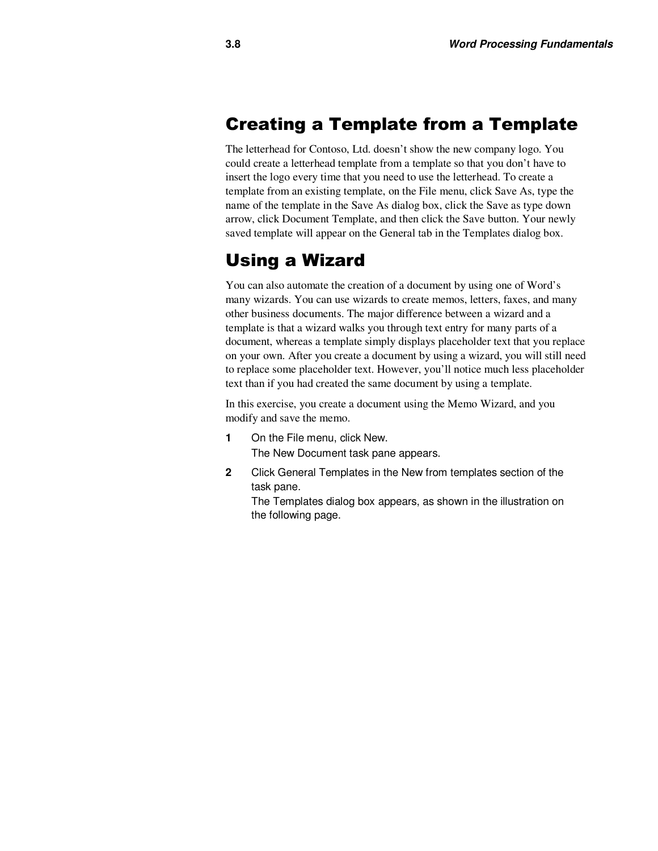#### Creating a Template from a Template

The letterhead for Contoso, Ltd. doesn't show the new company logo. You could create a letterhead template from a template so that you don't have to insert the logo every time that you need to use the letterhead. To create a template from an existing template, on the File menu, click Save As, type the name of the template in the Save As dialog box, click the Save as type down arrow, click Document Template, and then click the Save button. Your newly saved template will appear on the General tab in the Templates dialog box.

## Using a Wizard

You can also automate the creation of a document by using one of Word's many wizards. You can use wizards to create memos, letters, faxes, and many other business documents. The major difference between a wizard and a template is that a wizard walks you through text entry for many parts of a document, whereas a template simply displays placeholder text that you replace on your own. After you create a document by using a wizard, you will still need to replace some placeholder text. However, you'll notice much less placeholder text than if you had created the same document by using a template.

In this exercise, you create a document using the Memo Wizard, and you modify and save the memo.

- **1** On the File menu, click New. The New Document task pane appears.
- **2** Click General Templates in the New from templates section of the task pane.

The Templates dialog box appears, as shown in the illustration on the following page.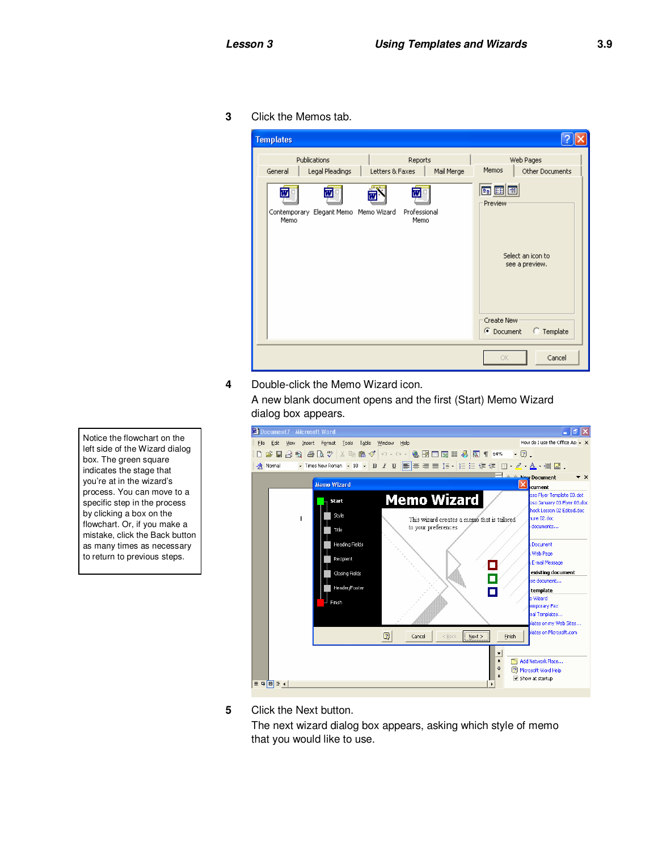**3** Click the Memos tab.



**4** Double-click the Memo Wizard icon.

A new blank document opens and the first (Start) Memo Wizard dialog box appears.



**5** Click the Next button.

The next wizard dialog box appears, asking which style of memo that you would like to use.

Notice the flowchart on the left side of the Wizard dialog box. The green square indicates the stage that you're at in the wizard's process. You can move to a specific step in the process by clicking a box on the flowchart. Or, if you make a mistake, click the Back button as many times as necessary to return to previous steps.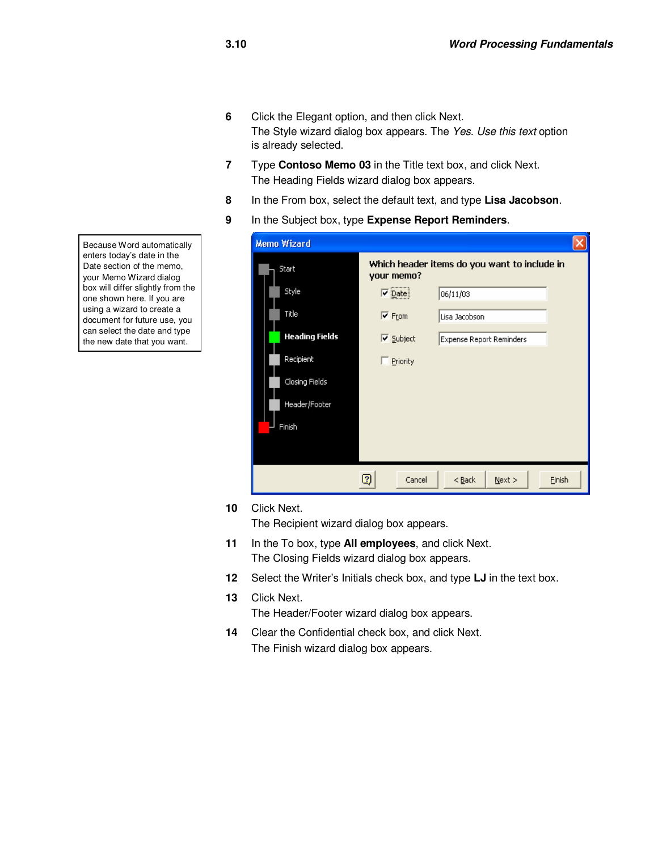- **6** Click the Elegant option, and then click Next. The Style wizard dialog box appears. The *Yes. Use this text* option is already selected.
- **7** Type **Contoso Memo 03** in the Title text box, and click Next. The Heading Fields wizard dialog box appears.
- **8** In the From box, select the default text, and type **Lisa Jacobson**.
- **9** In the Subject box, type **Expense Report Reminders**.

| <b>Memo Wizard</b>    |                        |                                              |
|-----------------------|------------------------|----------------------------------------------|
| Start                 | your memo?             | Which header items do you want to include in |
| Style                 | $\nabla$ Date          | 06/11/03                                     |
| Title                 | $\overline{V}$ From    | Lisa Jacobson                                |
| <b>Heading Fields</b> | $\overline{V}$ Subject | Expense Report Reminders                     |
| Recipient             | Priority               |                                              |
| Closing Fields        |                        |                                              |
| Header/Footer         |                        |                                              |
| Finish                |                        |                                              |
|                       |                        |                                              |
|                       | Cancel                 | $Back$<br>Next<br><b>Finish</b>              |

**10** Click Next.

The Recipient wizard dialog box appears.

- **11** In the To box, type **All employees**, and click Next. The Closing Fields wizard dialog box appears.
- **12** Select the Writer's Initials check box, and type **LJ** in the text box.
- **13** Click Next.

The Header/Footer wizard dialog box appears.

**14** Clear the Confidential check box, and click Next. The Finish wizard dialog box appears.

Because Word automatically enters today's date in the Date section of the memo, your Memo Wizard dialog box will differ slightly from the one shown here. If you are using a wizard to create a document for future use, you can select the date and type the new date that you want.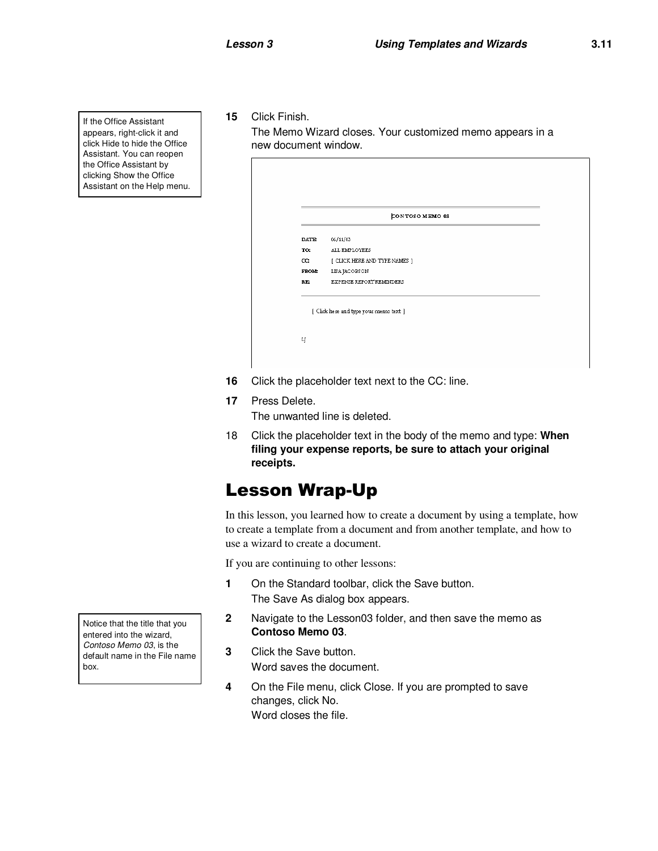If the Office Assistant appears, right-click it and click Hide to hide the Office Assistant. You can reopen the Office Assistant by clicking Show the Office Assistant on the Help menu. **15** Click Finish.

The Memo Wizard closes. Your customized memo appears in a new document window.

|              | CONTOSO MEMO 03                        |  |
|--------------|----------------------------------------|--|
| <b>DATE</b>  | 06/11/03                               |  |
| TO:          | ALL EMPLOYEES                          |  |
| $_{\rm cc}$  | [ CLICK HERE AND TYPE NAMES ]          |  |
| <b>FROM:</b> | LISA JACOBSON                          |  |
| RE           | EXPENSE REPORT REMINDERS               |  |
|              | [ Click here and type your memo text ] |  |

- **16** Click the placeholder text next to the CC: line.
- **17** Press Delete.

The unwanted line is deleted.

18 Click the placeholder text in the body of the memo and type: **When filing your expense reports, be sure to attach your original receipts.**

# Lesson Wrap-Up

In this lesson, you learned how to create a document by using a template, how to create a template from a document and from another template, and how to use a wizard to create a document.

If you are continuing to other lessons:

- **1** On the Standard toolbar, click the Save button. The Save As dialog box appears.
- **2** Navigate to the Lesson03 folder, and then save the memo as **Contoso Memo 03**.
- **3** Click the Save button. Word saves the document.
- **4** On the File menu, click Close. If you are prompted to save changes, click No. Word closes the file.

Notice that the title that you entered into the wizard, *Contoso Memo 03*, is the default name in the File name box.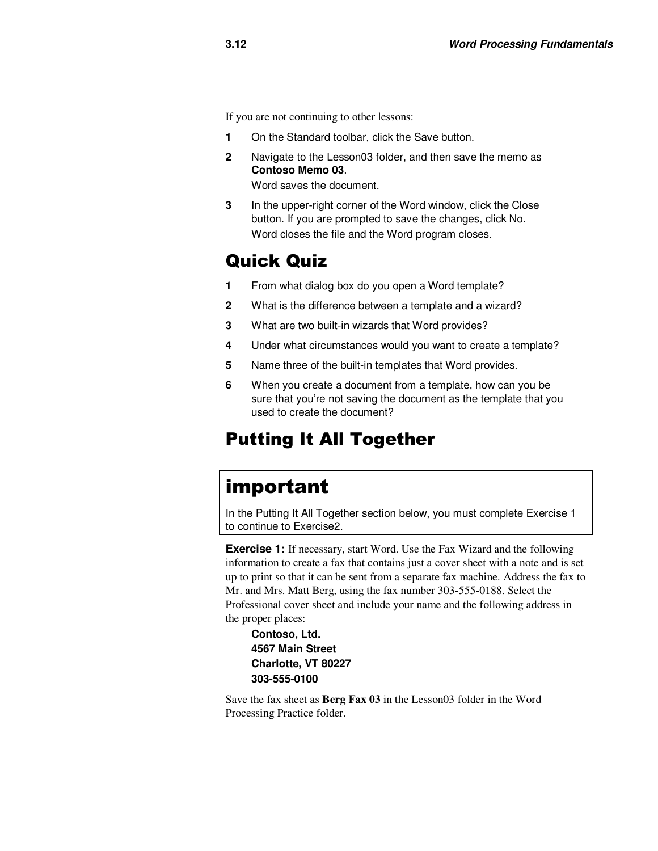If you are not continuing to other lessons:

- **1** On the Standard toolbar, click the Save button.
- **2** Navigate to the Lesson03 folder, and then save the memo as **Contoso Memo 03**.

Word saves the document.

**3** In the upper-right corner of the Word window, click the Close button. If you are prompted to save the changes, click No. Word closes the file and the Word program closes.

#### Quick Quiz

- **1** From what dialog box do you open a Word template?
- **2** What is the difference between a template and a wizard?
- **3** What are two built-in wizards that Word provides?
- **4** Under what circumstances would you want to create a template?
- **5** Name three of the built-in templates that Word provides.
- **6** When you create a document from a template, how can you be sure that you're not saving the document as the template that you used to create the document?

### Putting It All Together

#### important

In the Putting It All Together section below, you must complete Exercise 1 to continue to Exercise2.

**Exercise 1:** If necessary, start Word. Use the Fax Wizard and the following information to create a fax that contains just a cover sheet with a note and is set up to print so that it can be sent from a separate fax machine. Address the fax to Mr. and Mrs. Matt Berg, using the fax number 303-555-0188. Select the Professional cover sheet and include your name and the following address in the proper places:

**Contoso, Ltd. 4567 Main Street Charlotte, VT 80227 303-555-0100** 

Save the fax sheet as **Berg Fax 03** in the Lesson03 folder in the Word Processing Practice folder.